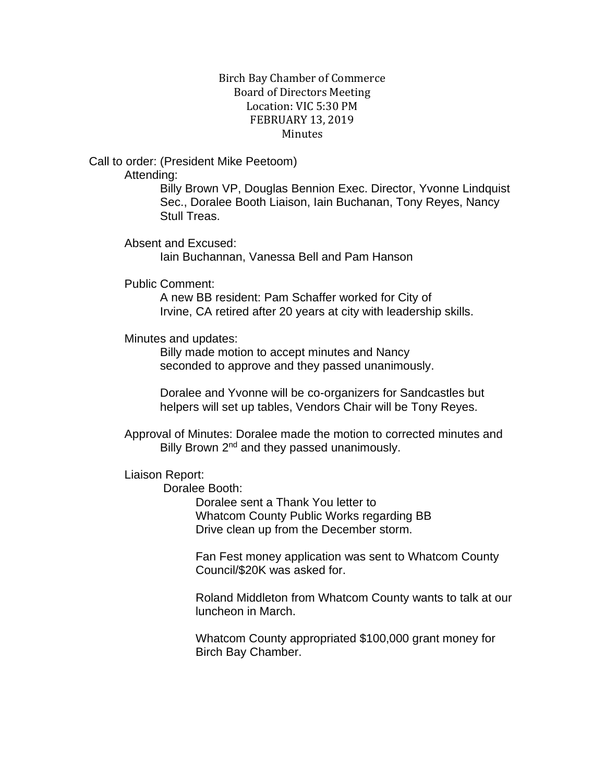## Birch Bay Chamber of Commerce Board of Directors Meeting Location: VIC 5:30 PM FEBRUARY 13, 2019 **Minutes**

Call to order: (President Mike Peetoom)

Attending:

Billy Brown VP, Douglas Bennion Exec. Director, Yvonne Lindquist Sec., Doralee Booth Liaison, Iain Buchanan, Tony Reyes, Nancy Stull Treas.

Absent and Excused:

Iain Buchannan, Vanessa Bell and Pam Hanson

Public Comment:

A new BB resident: Pam Schaffer worked for City of Irvine, CA retired after 20 years at city with leadership skills.

Minutes and updates:

Billy made motion to accept minutes and Nancy seconded to approve and they passed unanimously.

Doralee and Yvonne will be co-organizers for Sandcastles but helpers will set up tables, Vendors Chair will be Tony Reyes.

Approval of Minutes: Doralee made the motion to corrected minutes and Billy Brown 2<sup>nd</sup> and they passed unanimously.

Liaison Report:

Doralee Booth:

Doralee sent a Thank You letter to Whatcom County Public Works regarding BB Drive clean up from the December storm.

Fan Fest money application was sent to Whatcom County Council/\$20K was asked for.

Roland Middleton from Whatcom County wants to talk at our luncheon in March.

Whatcom County appropriated \$100,000 grant money for Birch Bay Chamber.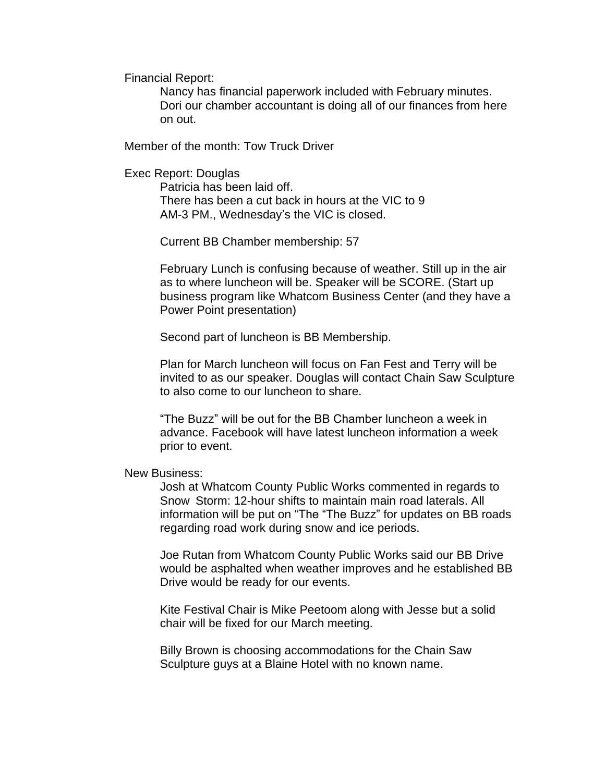Financial Report:

Nancy has financial paperwork included with February minutes. Dori our chamber accountant is doing all of our finances from here on out.

Member of the month: Tow Truck Driver

Exec Report: Douglas

Patricia has been laid off. There has been a cut back in hours at the VIC to 9 AM-3 PM., Wednesday's the VIC is closed.

Current BB Chamber membership: 57

February Lunch is confusing because of weather. Still up in the air as to where luncheon will be. Speaker will be SCORE. (Start up business program like Whatcom Business Center (and they have a Power Point presentation)

Second part of luncheon is BB Membership.

Plan for March luncheon will focus on Fan Fest and Terry will be invited to as our speaker. Douglas will contact Chain Saw Sculpture to also come to our luncheon to share.

"The Buzz" will be out for the BB Chamber luncheon a week in advance. Facebook will have latest luncheon information a week prior to event.

## New Business:

Josh at Whatcom County Public Works commented in regards to Snow Storm: 12-hour shifts to maintain main road laterals. All information will be put on "The "The Buzz" for updates on BB roads regarding road work during snow and ice periods.

Joe Rutan from Whatcom County Public Works said our BB Drive would be asphalted when weather improves and he established BB Drive would be ready for our events.

Kite Festival Chair is Mike Peetoom along with Jesse but a solid chair will be fixed for our March meeting.

Billy Brown is choosing accommodations for the Chain Saw Sculpture guys at a Blaine Hotel with no known name.